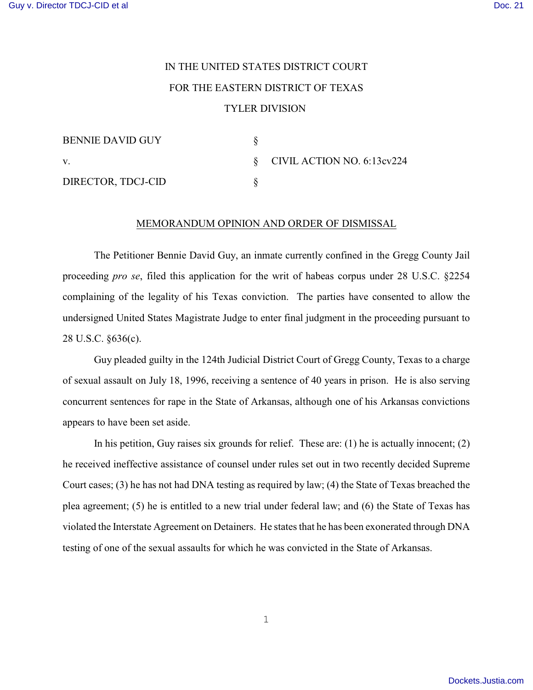## IN THE UNITED STATES DISTRICT COURT FOR THE EASTERN DISTRICT OF TEXAS TYLER DIVISION

| <b>BENNIE DAVID GUY</b> |                                 |
|-------------------------|---------------------------------|
| V.                      | $\S$ CIVIL ACTION NO. 6:13cv224 |
| DIRECTOR, TDCJ-CID      |                                 |

## MEMORANDUM OPINION AND ORDER OF DISMISSAL

The Petitioner Bennie David Guy, an inmate currently confined in the Gregg County Jail proceeding *pro se*, filed this application for the writ of habeas corpus under 28 U.S.C. §2254 complaining of the legality of his Texas conviction. The parties have consented to allow the undersigned United States Magistrate Judge to enter final judgment in the proceeding pursuant to 28 U.S.C. §636(c).

Guy pleaded guilty in the 124th Judicial District Court of Gregg County, Texas to a charge of sexual assault on July 18, 1996, receiving a sentence of 40 years in prison. He is also serving concurrent sentences for rape in the State of Arkansas, although one of his Arkansas convictions appears to have been set aside.

In his petition, Guy raises six grounds for relief. These are: (1) he is actually innocent; (2) he received ineffective assistance of counsel under rules set out in two recently decided Supreme Court cases; (3) he has not had DNA testing as required by law; (4) the State of Texas breached the plea agreement; (5) he is entitled to a new trial under federal law; and (6) the State of Texas has violated the Interstate Agreement on Detainers. He states that he has been exonerated through DNA testing of one of the sexual assaults for which he was convicted in the State of Arkansas.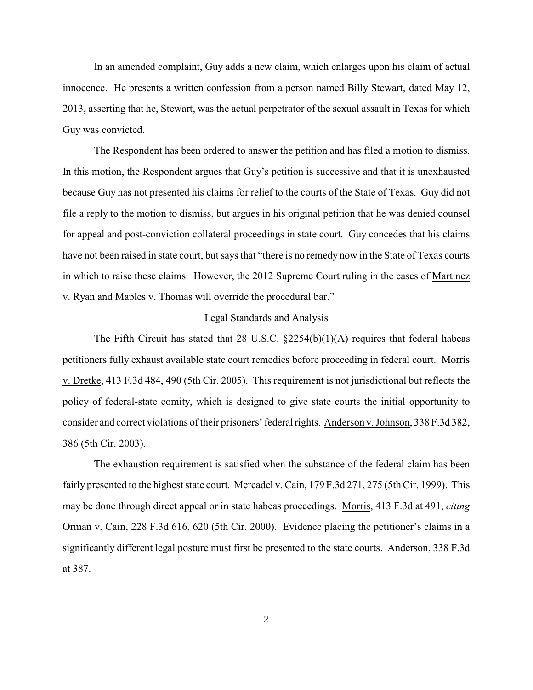In an amended complaint, Guy adds a new claim, which enlarges upon his claim of actual innocence. He presents a written confession from a person named Billy Stewart, dated May 12, 2013, asserting that he, Stewart, was the actual perpetrator of the sexual assault in Texas for which Guy was convicted.

The Respondent has been ordered to answer the petition and has filed a motion to dismiss. In this motion, the Respondent argues that Guy's petition is successive and that it is unexhausted because Guy has not presented his claims for relief to the courts of the State of Texas. Guy did not file a reply to the motion to dismiss, but argues in his original petition that he was denied counsel for appeal and post-conviction collateral proceedings in state court. Guy concedes that his claims have not been raised in state court, but says that "there is no remedy now in the State of Texas courts in which to raise these claims. However, the 2012 Supreme Court ruling in the cases of Martinez v. Ryan and Maples v. Thomas will override the procedural bar."

## Legal Standards and Analysis

The Fifth Circuit has stated that 28 U.S.C.  $\S2254(b)(1)(A)$  requires that federal habeas petitioners fully exhaust available state court remedies before proceeding in federal court. Morris v. Dretke, 413 F.3d 484, 490 (5th Cir. 2005). This requirement is not jurisdictional but reflects the policy of federal-state comity, which is designed to give state courts the initial opportunity to consider and correct violations of their prisoners' federal rights. Anderson v. Johnson, 338 F.3d 382, 386 (5th Cir. 2003).

The exhaustion requirement is satisfied when the substance of the federal claim has been fairly presented to the highest state court. Mercadel v.Cain, 179 F.3d 271, 275 (5th Cir. 1999). This may be done through direct appeal or in state habeas proceedings. Morris, 413 F.3d at 491, *citing* Orman v. Cain, 228 F.3d 616, 620 (5th Cir. 2000). Evidence placing the petitioner's claims in a significantly different legal posture must first be presented to the state courts. Anderson, 338 F.3d at 387.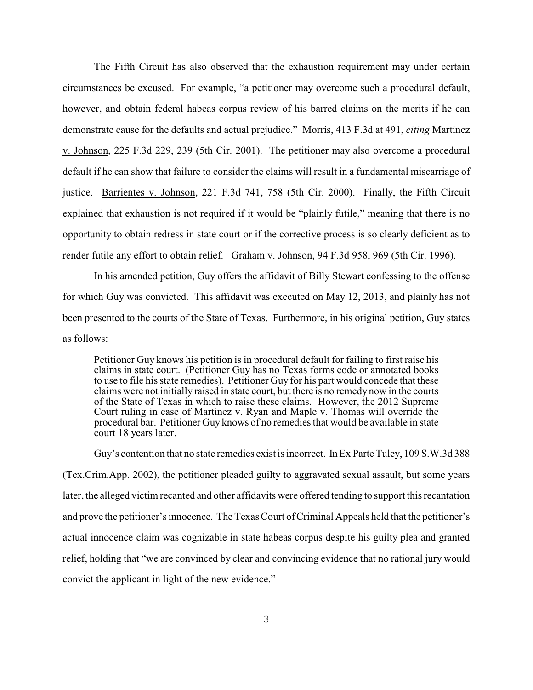The Fifth Circuit has also observed that the exhaustion requirement may under certain circumstances be excused. For example, "a petitioner may overcome such a procedural default, however, and obtain federal habeas corpus review of his barred claims on the merits if he can demonstrate cause for the defaults and actual prejudice." Morris, 413 F.3d at 491, *citing* Martinez v. Johnson, 225 F.3d 229, 239 (5th Cir. 2001). The petitioner may also overcome a procedural default if he can show that failure to consider the claims will result in a fundamental miscarriage of justice. Barrientes v. Johnson, 221 F.3d 741, 758 (5th Cir. 2000). Finally, the Fifth Circuit explained that exhaustion is not required if it would be "plainly futile," meaning that there is no opportunity to obtain redress in state court or if the corrective process is so clearly deficient as to render futile any effort to obtain relief. Graham v. Johnson, 94 F.3d 958, 969 (5th Cir. 1996).

In his amended petition, Guy offers the affidavit of Billy Stewart confessing to the offense for which Guy was convicted. This affidavit was executed on May 12, 2013, and plainly has not been presented to the courts of the State of Texas. Furthermore, in his original petition, Guy states as follows:

Petitioner Guy knows his petition is in procedural default for failing to first raise his claims in state court. (Petitioner Guy has no Texas forms code or annotated books to use to file hisstate remedies). Petitioner Guy for his part would concede that these claims were not initially raised in state court, but there is no remedy now in the courts of the State of Texas in which to raise these claims. However, the 2012 Supreme Court ruling in case of Martinez v. Ryan and Maple v. Thomas will override the procedural bar. Petitioner Guy knows of no remedies that would be available in state court 18 years later.

Guy's contention that no state remedies exist is incorrect. In Ex Parte Tuley, 109 S.W.3d 388 (Tex.Crim.App. 2002), the petitioner pleaded guilty to aggravated sexual assault, but some years later, the alleged victim recanted and other affidavits were offered tending to support this recantation and prove the petitioner's innocence. The Texas Court ofCriminal Appeals held that the petitioner's actual innocence claim was cognizable in state habeas corpus despite his guilty plea and granted relief, holding that "we are convinced by clear and convincing evidence that no rational jury would convict the applicant in light of the new evidence."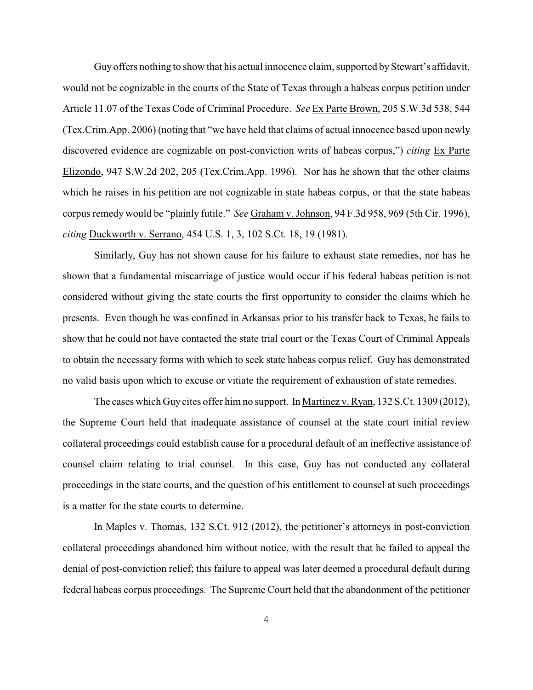Guy offers nothing to show that his actual innocence claim, supported by Stewart's affidavit, would not be cognizable in the courts of the State of Texas through a habeas corpus petition under Article 11.07 of the Texas Code of Criminal Procedure. *See* Ex Parte Brown, 205 S.W.3d 538, 544 (Tex.Crim.App. 2006) (noting that "we have held that claims of actual innocence based upon newly discovered evidence are cognizable on post-conviction writs of habeas corpus,") *citing* Ex Parte Elizondo, 947 S.W.2d 202, 205 (Tex.Crim.App. 1996). Nor has he shown that the other claims which he raises in his petition are not cognizable in state habeas corpus, or that the state habeas corpus remedy would be "plainly futile." *See* Graham v. Johnson, 94 F.3d 958, 969 (5th Cir. 1996), *citing* Duckworth v. Serrano, 454 U.S. 1, 3, 102 S.Ct. 18, 19 (1981).

Similarly, Guy has not shown cause for his failure to exhaust state remedies, nor has he shown that a fundamental miscarriage of justice would occur if his federal habeas petition is not considered without giving the state courts the first opportunity to consider the claims which he presents. Even though he was confined in Arkansas prior to his transfer back to Texas, he fails to show that he could not have contacted the state trial court or the Texas Court of Criminal Appeals to obtain the necessary forms with which to seek state habeas corpus relief. Guy has demonstrated no valid basis upon which to excuse or vitiate the requirement of exhaustion of state remedies.

The cases which Guy cites offer him no support. In Martinez v. Ryan, 132 S.Ct. 1309 (2012), the Supreme Court held that inadequate assistance of counsel at the state court initial review collateral proceedings could establish cause for a procedural default of an ineffective assistance of counsel claim relating to trial counsel. In this case, Guy has not conducted any collateral proceedings in the state courts, and the question of his entitlement to counsel at such proceedings is a matter for the state courts to determine.

In Maples v. Thomas, 132 S.Ct. 912 (2012), the petitioner's attorneys in post-conviction collateral proceedings abandoned him without notice, with the result that he failed to appeal the denial of post-conviction relief; this failure to appeal was later deemed a procedural default during federal habeas corpus proceedings. The Supreme Court held that the abandonment of the petitioner